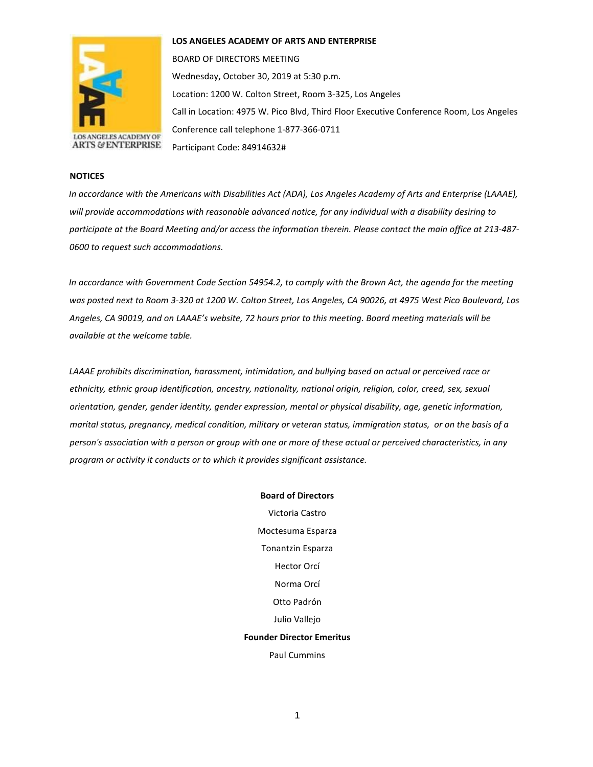

**LOS ANGELES ACADEMY OF ARTS AND ENTERPRISE** 

BOARD OF DIRECTORS MEETING Wednesday, October 30, 2019 at 5:30 p.m. Location: 1200 W. Colton Street, Room 3-325, Los Angeles Call in Location: 4975 W. Pico Blvd, Third Floor Executive Conference Room, Los Angeles Conference call telephone 1-877-366-0711 Participant Code: 84914632#

#### **NOTICES**

*In accordance with the Americans with Disabilities Act (ADA), Los Angeles Academy of Arts and Enterprise (LAAAE), will provide accommodations with reasonable advanced notice, for any individual with a disability desiring to participate at the Board Meeting and/or access the information therein. Please contact the main office at 213-487- 0600 to request such accommodations.* 

*In accordance with Government Code Section 54954.2, to comply with the Brown Act, the agenda for the meeting was posted next to Room 3-320 at 1200 W. Colton Street, Los Angeles, CA 90026, at 4975 West Pico Boulevard, Los Angeles, CA 90019, and on LAAAE's website, 72 hours prior to this meeting. Board meeting materials will be available at the welcome table.* 

*LAAAE prohibits discrimination, harassment, intimidation, and bullying based on actual or perceived race or ethnicity, ethnic group identification, ancestry, nationality, national origin, religion, color, creed, sex, sexual orientation, gender, gender identity, gender expression, mental or physical disability, age, genetic information, marital status, pregnancy, medical condition, military or veteran status, immigration status, or on the basis of a person's association with a person or group with one or more of these actual or perceived characteristics, in any program or activity it conducts or to which it provides significant assistance.* 

> **Board of Directors** Victoria Castro Moctesuma Esparza Tonantzin Esparza Hector Orcí Norma Orcí Otto Padrón Julio Vallejo **Founder Director Emeritus** Paul Cummins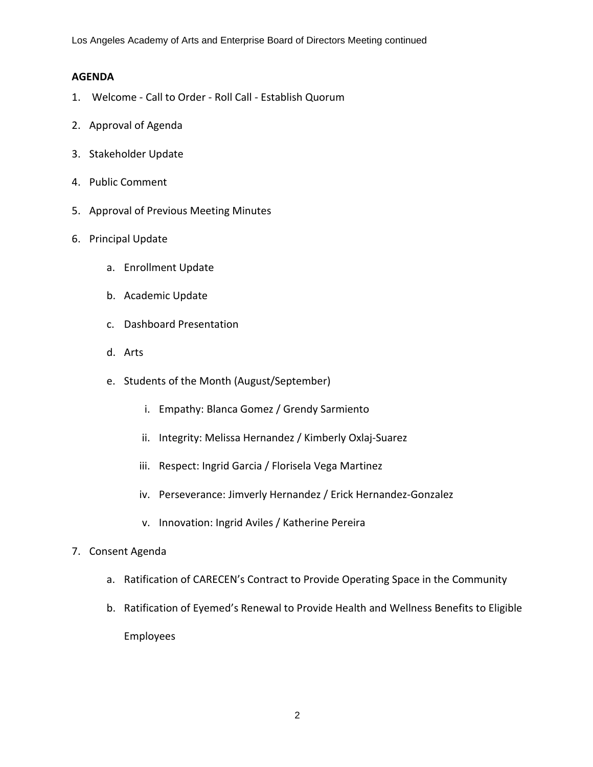Los Angeles Academy of Arts and Enterprise Board of Directors Meeting continued

#### **AGENDA**

- 1. Welcome Call to Order Roll Call Establish Quorum
- 2. Approval of Agenda
- 3. Stakeholder Update
- 4. Public Comment
- 5. Approval of Previous Meeting Minutes
- 6. Principal Update
	- a. Enrollment Update
	- b. Academic Update
	- c. Dashboard Presentation
	- d. Arts
	- e. Students of the Month (August/September)
		- i. Empathy: Blanca Gomez / Grendy Sarmiento
		- ii. Integrity: Melissa Hernandez / Kimberly Oxlaj-Suarez
		- iii. Respect: Ingrid Garcia / Florisela Vega Martinez
		- iv. Perseverance: Jimverly Hernandez / Erick Hernandez-Gonzalez
		- v. Innovation: Ingrid Aviles / Katherine Pereira
- 7. Consent Agenda
	- a. Ratification of CARECEN's Contract to Provide Operating Space in the Community
	- b. Ratification of Eyemed's Renewal to Provide Health and Wellness Benefits to Eligible Employees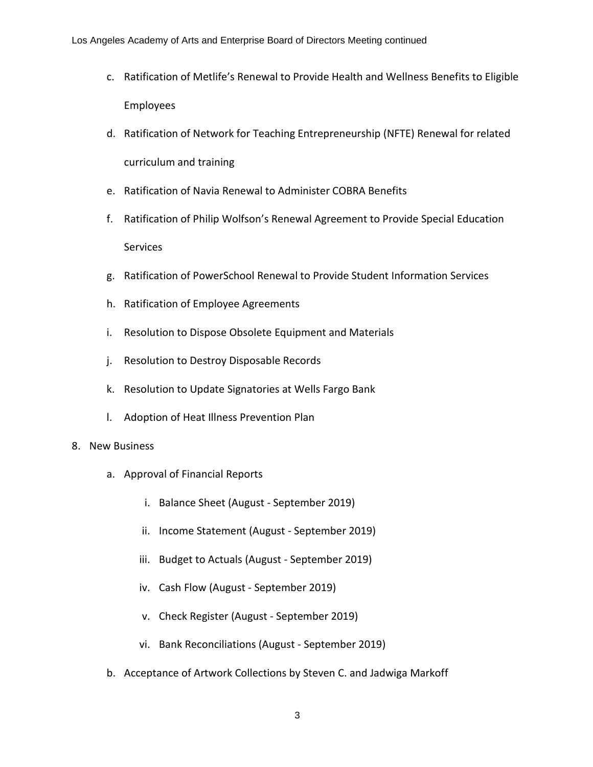- c. Ratification of Metlife's Renewal to Provide Health and Wellness Benefits to Eligible Employees
- d. Ratification of Network for Teaching Entrepreneurship (NFTE) Renewal for related curriculum and training
- e. Ratification of Navia Renewal to Administer COBRA Benefits
- f. Ratification of Philip Wolfson's Renewal Agreement to Provide Special Education Services
- g. Ratification of PowerSchool Renewal to Provide Student Information Services
- h. Ratification of Employee Agreements
- i. Resolution to Dispose Obsolete Equipment and Materials
- j. Resolution to Destroy Disposable Records
- k. Resolution to Update Signatories at Wells Fargo Bank
- l. Adoption of Heat Illness Prevention Plan

#### 8. New Business

- a. Approval of Financial Reports
	- i. Balance Sheet (August September 2019)
	- ii. Income Statement (August September 2019)
	- iii. Budget to Actuals (August September 2019)
	- iv. Cash Flow (August September 2019)
	- v. Check Register (August September 2019)
	- vi. Bank Reconciliations (August September 2019)
- b. Acceptance of Artwork Collections by Steven C. and Jadwiga Markoff